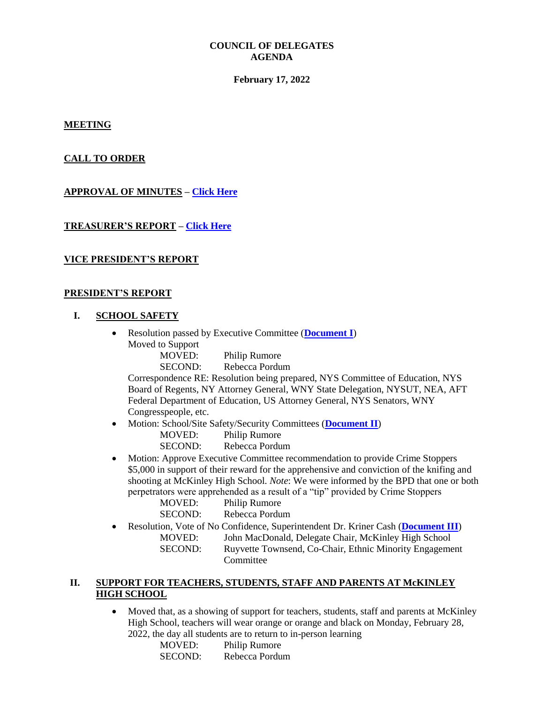#### **COUNCIL OF DELEGATES AGENDA**

#### **February 17, 2022**

**MEETING** 

## **CALL TO ORDER**

## **APPROVAL OF MINUTES – [Click Here](http://www.btfny.org/cod/agendas/2022/feb17/cod_minutes_11322.pdf)**

## **TREASURER'S REPORT – [Click Here](http://www.btfny.org/cod/agendas/2022/feb17/treasurers_report_123121.pdf)**

## **VICE PRESIDENT'S REPORT**

#### **PRESIDENT'S REPORT**

## **I. SCHOOL SAFETY**

- Resolution passed by Executive Committee (**[Document I](http://www.btfny.org/cod/agendas/2022/feb17/cod_21722_doc1.pdf)**) Moved to Support
	- MOVED: Philip Rumore
	- SECOND: Rebecca Pordum

Correspondence RE: Resolution being prepared, NYS Committee of Education, NYS Board of Regents, NY Attorney General, WNY State Delegation, NYSUT, NEA, AFT Federal Department of Education, US Attorney General, NYS Senators, WNY Congresspeople, etc.

- Motion: School/Site Safety/Security Committees (**[Document II](http://www.btfny.org/cod/agendas/2022/feb17/cod_21722_doc_2.pdf)**)
	- MOVED: Philip Rumore

SECOND: Rebecca Pordum

 Motion: Approve Executive Committee recommendation to provide Crime Stoppers \$5,000 in support of their reward for the apprehensive and conviction of the knifing and shooting at McKinley High School. *Note*: We were informed by the BPD that one or both perpetrators were apprehended as a result of a "tip" provided by Crime Stoppers

| MOVED:  | <b>Philip Rumore</b> |
|---------|----------------------|
| SECOND: | Rebecca Pordum       |

 Resolution, Vote of No Confidence, Superintendent Dr. Kriner Cash (**[Document III](http://www.btfny.org/cod/agendas/2022/feb17/cod_21722_doc3.pdf)**) MOVED: John MacDonald, Delegate Chair, McKinley High School SECOND: Ruyvette Townsend, Co-Chair, Ethnic Minority Engagement **Committee** 

# **II. SUPPORT FOR TEACHERS, STUDENTS, STAFF AND PARENTS AT McKINLEY HIGH SCHOOL**

 Moved that, as a showing of support for teachers, students, staff and parents at McKinley High School, teachers will wear orange or orange and black on Monday, February 28, 2022, the day all students are to return to in-person learning

| MOVED:         | <b>Philip Rumore</b> |
|----------------|----------------------|
| <b>SECOND:</b> | Rebecca Pordum       |